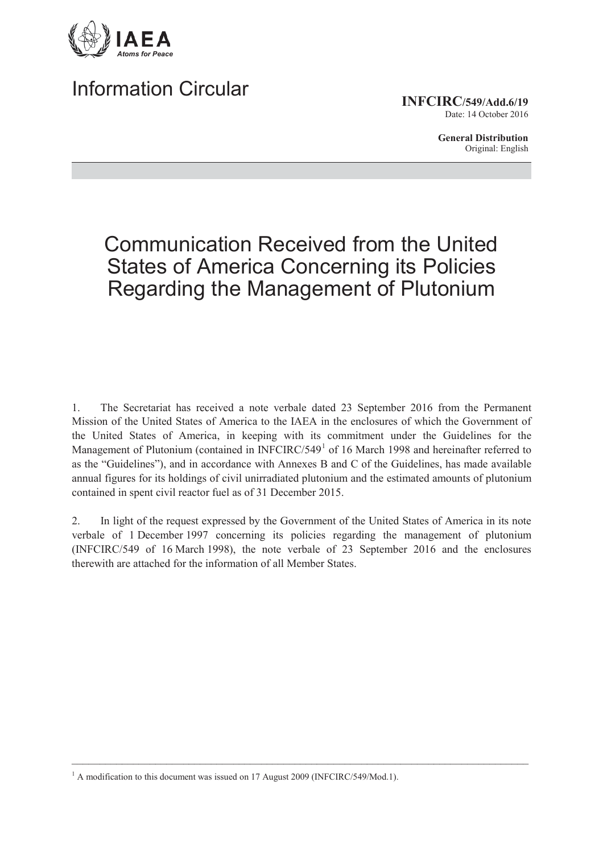

## Information Circular

**INFCIRC/549/Add.6/19**

Date: 14 October 2016

**General Distribution** Original: English

# Communication Received from the United States of America Concerning its Policies Regarding the Management of Plutonium

1. The Secretariat has received a note verbale dated 23 September 2016 from the Permanent Mission of the United States of America to the IAEA in the enclosures of which the Government of the United States of America, in keeping with its commitment under the Guidelines for the Management of Plutonium (contained in INFCIRC/549<sup>1</sup> of 16 March 1998 and hereinafter referred to as the "Guidelines"), and in accordance with Annexes B and C of the Guidelines, has made available annual figures for its holdings of civil unirradiated plutonium and the estimated amounts of plutonium contained in spent civil reactor fuel as of 31 December 2015.

2. In light of the request expressed by the Government of the United States of America in its note verbale of 1 December 1997 concerning its policies regarding the management of plutonium (INFCIRC/549 of 16 March 1998), the note verbale of 23 September 2016 and the enclosures therewith are attached for the information of all Member States.

 $\mathcal{L}_\mathcal{L} = \{ \mathcal{L}_\mathcal{L} = \{ \mathcal{L}_\mathcal{L} = \{ \mathcal{L}_\mathcal{L} = \{ \mathcal{L}_\mathcal{L} = \{ \mathcal{L}_\mathcal{L} = \{ \mathcal{L}_\mathcal{L} = \{ \mathcal{L}_\mathcal{L} = \{ \mathcal{L}_\mathcal{L} = \{ \mathcal{L}_\mathcal{L} = \{ \mathcal{L}_\mathcal{L} = \{ \mathcal{L}_\mathcal{L} = \{ \mathcal{L}_\mathcal{L} = \{ \mathcal{L}_\mathcal{L} = \{ \mathcal{L}_\mathcal{$ 

<sup>&</sup>lt;sup>1</sup> A modification to this document was issued on 17 August 2009 (INFCIRC/549/Mod.1).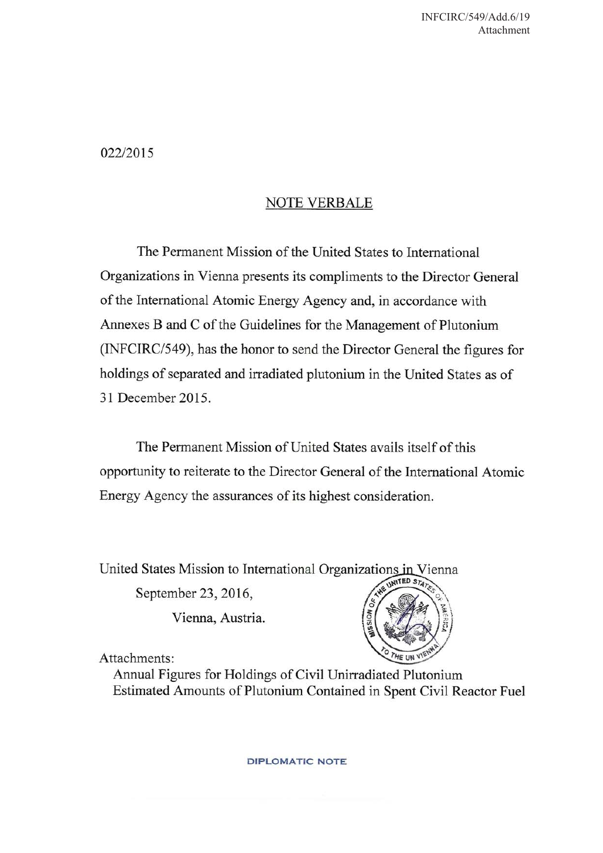022/2015

### **NOTE VERBALE**

The Permanent Mission of the United States to International Organizations in Vienna presents its compliments to the Director General of the International Atomic Energy Agency and, in accordance with Annexes B and C of the Guidelines for the Management of Plutonium (INFCIRC/549), has the honor to send the Director General the figures for holdings of separated and irradiated plutonium in the United States as of 31 December 2015.

The Permanent Mission of United States avails itself of this opportunity to reiterate to the Director General of the International Atomic Energy Agency the assurances of its highest consideration.

United States Mission to International Organizations in Vienna

September 23, 2016,

Vienna, Austria.



Attachments:

Annual Figures for Holdings of Civil Unirradiated Plutonium Estimated Amounts of Plutonium Contained in Spent Civil Reactor Fuel

**DIPLOMATIC NOTE**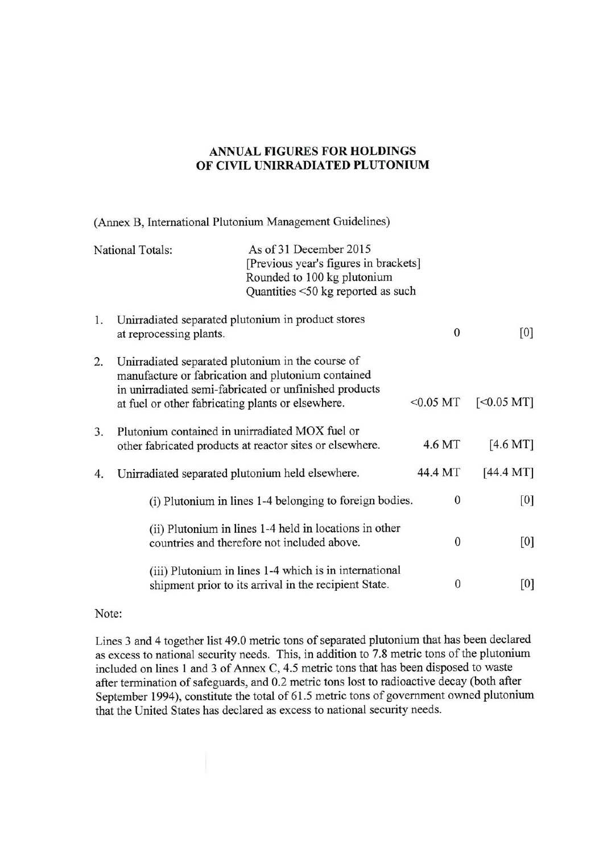#### **ANNUAL FIGURES FOR HOLDINGS** OF CIVIL UNIRRADIATED PLUTONIUM

(Annex B, International Plutonium Management Guidelines)

| <b>National Totals:</b> |                                                                                                                                                                                                                        | As of 31 December 2015<br>[Previous year's figures in brackets]<br>Rounded to 100 kg plutonium<br>Quantities <50 kg reported as such |              |                    |
|-------------------------|------------------------------------------------------------------------------------------------------------------------------------------------------------------------------------------------------------------------|--------------------------------------------------------------------------------------------------------------------------------------|--------------|--------------------|
| 1.                      | Unirradiated separated plutonium in product stores<br>at reprocessing plants.                                                                                                                                          |                                                                                                                                      | $\mathbf{0}$ | [0]                |
| 2.                      | Unirradiated separated plutonium in the course of<br>manufacture or fabrication and plutonium contained<br>in unirradiated semi-fabricated or unfinished products<br>at fuel or other fabricating plants or elsewhere. | $<$ 0.05 MT                                                                                                                          | $[<0.05$ MT] |                    |
| 3.                      |                                                                                                                                                                                                                        | Plutonium contained in unirradiated MOX fuel or<br>other fabricated products at reactor sites or elsewhere.                          | 4.6 MT       | $[4.6 \text{ MT}]$ |
| 4.                      |                                                                                                                                                                                                                        | Unirradiated separated plutonium held elsewhere.                                                                                     | 44.4 MT      | [44.4 M]           |
|                         |                                                                                                                                                                                                                        | (i) Plutonium in lines 1-4 belonging to foreign bodies.                                                                              | 0            | [0]                |
|                         |                                                                                                                                                                                                                        | (ii) Plutonium in lines 1-4 held in locations in other<br>countries and therefore not included above.                                | $\mathbf{0}$ | [0]                |
|                         |                                                                                                                                                                                                                        | (iii) Plutonium in lines 1-4 which is in international<br>shipment prior to its arrival in the recipient State.                      | 0            | [0]                |

#### Note:

Lines 3 and 4 together list 49.0 metric tons of separated plutonium that has been declared as excess to national security needs. This, in addition to 7.8 metric tons of the plutonium included on lines 1 and 3 of Annex C, 4.5 metric tons that has been disposed to waste after termination of safeguards, and 0.2 metric tons lost to radioactive decay (both after September 1994), constitute the total of 61.5 metric tons of government owned plutonium that the United States has declared as excess to national security needs.